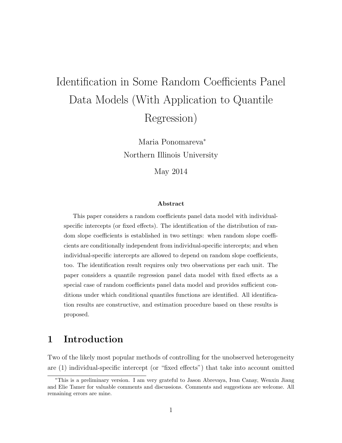# Identification in Some Random Coefficients Panel Data Models (With Application to Quantile Regression)

Maria Ponomareva<sup>∗</sup> Northern Illinois University

May 2014

#### Abstract

This paper considers a random coefficients panel data model with individualspecific intercepts (or fixed effects). The identification of the distribution of random slope coefficients is established in two settings: when random slope coefficients are conditionally independent from individual-specific intercepts; and when individual-specific intercepts are allowed to depend on random slope coefficients, too. The identification result requires only two observations per each unit. The paper considers a quantile regression panel data model with fixed effects as a special case of random coefficients panel data model and provides sufficient conditions under which conditional quantiles functions are identified. All identification results are constructive, and estimation procedure based on these results is proposed.

# 1 Introduction

Two of the likely most popular methods of controlling for the unobserved heterogeneity are (1) individual-specific intercept (or "fixed effects") that take into account omitted

<sup>∗</sup>This is a preliminary version. I am very grateful to Jason Abrevaya, Ivan Canay, Wenxin Jiang and Elie Tamer for valuable comments and discussions. Comments and suggestions are welcome. All remaining errors are mine.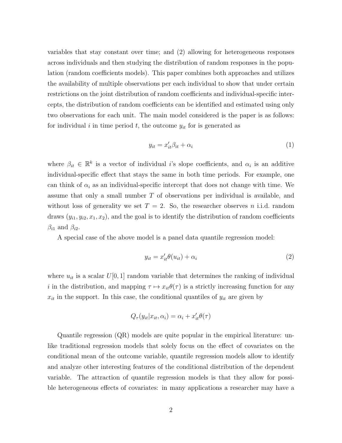variables that stay constant over time; and (2) allowing for heterogeneous responses across individuals and then studying the distribution of random responses in the population (random coefficients models). This paper combines both approaches and utilizes the availability of multiple observations per each individual to show that under certain restrictions on the joint distribution of random coefficients and individual-specific intercepts, the distribution of random coefficients can be identified and estimated using only two observations for each unit. The main model considered is the paper is as follows: for individual i in time period t, the outcome  $y_{it}$  for is generated as

<span id="page-1-0"></span>
$$
y_{it} = x_{it}'\beta_{it} + \alpha_i \tag{1}
$$

where  $\beta_{it} \in \mathbb{R}^k$  is a vector of individual *i*'s slope coefficients, and  $\alpha_i$  is an additive individual-specific effect that stays the same in both time periods. For example, one can think of  $\alpha_i$  as an individual-specific intercept that does not change with time. We assume that only a small number T of observations per individual is available, and without loss of generality we set  $T = 2$ . So, the researcher observes n i.i.d. random draws  $(y_{i1}, y_{i2}, x_1, x_2)$ , and the goal is to identify the distribution of random coefficients  $\beta_{i1}$  and  $\beta_{i2}$ .

A special case of the above model is a panel data quantile regression model:

$$
y_{it} = x_{it}'\theta(u_{it}) + \alpha_i \tag{2}
$$

where  $u_{it}$  is a scalar  $U[0, 1]$  random variable that determines the ranking of individual i in the distribution, and mapping  $\tau \mapsto x_{it}\theta(\tau)$  is a strictly increasing function for any  $x_{it}$  in the support. In this case, the conditional quantiles of  $y_{it}$  are given by

$$
Q_{\tau}(y_{it}|x_{it},\alpha_i) = \alpha_i + x_{it}'\theta(\tau)
$$

Quantile regression (QR) models are quite popular in the empirical literature: unlike traditional regression models that solely focus on the effect of covariates on the conditional mean of the outcome variable, quantile regression models allow to identify and analyze other interesting features of the conditional distribution of the dependent variable. The attraction of quantile regression models is that they allow for possible heterogeneous effects of covariates: in many applications a researcher may have a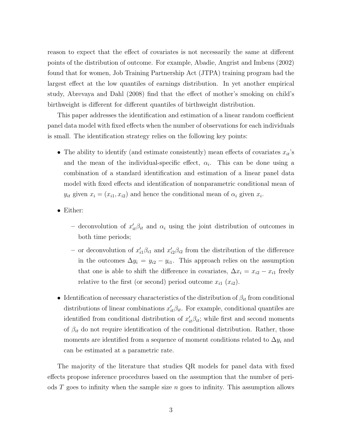reason to expect that the effect of covariates is not necessarily the same at different points of the distribution of outcome. For example, Abadie, Angrist and Imbens (2002) found that for women, Job Training Partnership Act (JTPA) training program had the largest effect at the low quantiles of earnings distribution. In yet another empirical study, Abrevaya and Dahl (2008) find that the effect of mother's smoking on child's birthweight is different for different quantiles of birthweight distribution.

This paper addresses the identification and estimation of a linear random coefficient panel data model with fixed effects when the number of observations for each individuals is small. The identification strategy relies on the following key points:

- The ability to identify (and estimate consistently) mean effects of covariates  $x_{it}$ 's and the mean of the individual-specific effect,  $\alpha_i$ . This can be done using a combination of a standard identification and estimation of a linear panel data model with fixed effects and identification of nonparametric conditional mean of  $y_{it}$  given  $x_i = (x_{i1}, x_{i2})$  and hence the conditional mean of  $\alpha_i$  given  $x_i$ .
- Either:
	- deconvolution of  $x'_{it}\beta_{it}$  and  $\alpha_i$  using the joint distribution of outcomes in both time periods;
	- or deconvolution of  $x'_{i1}\beta_{i1}$  and  $x'_{i2}\beta_{i2}$  from the distribution of the difference in the outcomes  $\Delta y_i = y_{i2} - y_{i1}$ . This approach relies on the assumption that one is able to shift the difference in covariates,  $\Delta x_i = x_{i2} - x_{i1}$  freely relative to the first (or second) period outcome  $x_{i1}$   $(x_{i2})$ .
- Identification of necessary characteristics of the distribution of  $\beta_{it}$  from conditional distributions of linear combinations  $x'_{it}\beta_{it}$ . For example, conditional quantiles are identified from conditional distribution of  $x'_{it}\beta_{it}$ ; while first and second moments of  $\beta_{it}$  do not require identification of the conditional distribution. Rather, those moments are identified from a sequence of moment conditions related to  $\Delta y_i$  and can be estimated at a parametric rate.

The majority of the literature that studies QR models for panel data with fixed effects propose inference procedures based on the assumption that the number of periods  $T$  goes to infinity when the sample size  $n$  goes to infinity. This assumption allows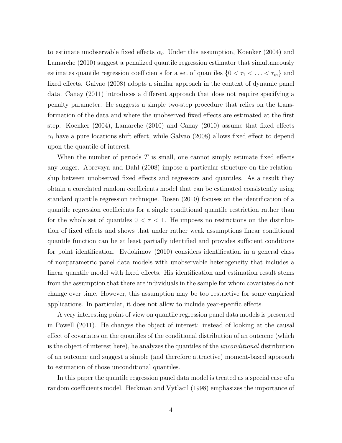to estimate unobservable fixed effects  $\alpha_i$ . Under this assumption, Koenker (2004) and Lamarche (2010) suggest a penalized quantile regression estimator that simultaneously estimates quantile regression coefficients for a set of quantiles  $\{0 < \tau_1 < \ldots < \tau_m\}$  and fixed effects. Galvao (2008) adopts a similar approach in the context of dynamic panel data. Canay (2011) introduces a different approach that does not require specifying a penalty parameter. He suggests a simple two-step procedure that relies on the transformation of the data and where the unobserved fixed effects are estimated at the first step. Koenker (2004), Lamarche (2010) and Canay (2010) assume that fixed effects  $\alpha_i$  have a pure locations shift effect, while Galvao (2008) allows fixed effect to depend upon the quantile of interest.

When the number of periods  $T$  is small, one cannot simply estimate fixed effects any longer. Abrevaya and Dahl (2008) impose a particular structure on the relationship between unobserved fixed effects and regressors and quantiles. As a result they obtain a correlated random coefficients model that can be estimated consistently using standard quantile regression technique. Rosen (2010) focuses on the identification of a quantile regression coefficients for a single conditional quantile restriction rather than for the whole set of quantiles  $0 < \tau < 1$ . He imposes no restrictions on the distribution of fixed effects and shows that under rather weak assumptions linear conditional quantile function can be at least partially identified and provides sufficient conditions for point identification. Evdokimov (2010) considers identification in a general class of nonparametric panel data models with unobservable heterogeneity that includes a linear quantile model with fixed effects. His identification and estimation result stems from the assumption that there are individuals in the sample for whom covariates do not change over time. However, this assumption may be too restrictive for some empirical applications. In particular, it does not allow to include year-specific effects.

A very interesting point of view on quantile regression panel data models is presented in Powell (2011). He changes the object of interest: instead of looking at the causal effect of covariates on the quantiles of the conditional distribution of an outcome (which is the object of interest here), he analyzes the quantiles of the *unconditional* distribution of an outcome and suggest a simple (and therefore attractive) moment-based approach to estimation of those unconditional quantiles.

In this paper the quantile regression panel data model is treated as a special case of a random coefficients model. Heckman and Vytlacil (1998) emphasizes the importance of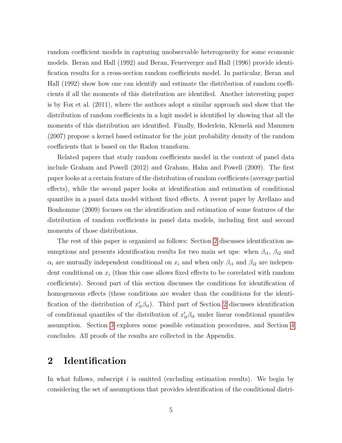random coefficient models in capturing unobservable heterogeneity for some economic models. Beran and Hall (1992) and Beran, Feuerverger and Hall (1996) provide identification results for a cross-section random coefficients model. In particular, Beran and Hall (1992) show how one can identify and estimate the distribution of random coefficients if all the moments of this distribution are identified. Another interesting paper is by Fox et al. (2011), where the authors adopt a similar approach and show that the distribution of random coefficients in a logit model is identified by showing that all the moments of this distribution are identified. Finally, Hoderlein, Klemelä and Mammen (2007) propose a kernel based estimator for the joint probability density of the random coefficients that is based on the Radon transform.

Related papers that study random coefficients model in the context of panel data include Graham and Powell (2012) and Graham, Hahn and Powell (2009). The first paper looks at a certain feature of the distribution of random coefficients (average partial effects), while the second paper looks at identification and estimation of conditional quantiles in a panel data model without fixed effects. A recent paper by Arellano and Bonhomme (2009) focuses on the identification and estimation of some features of the distribution of random coefficients in panel data models, including first and second moments of those distributions.

The rest of this paper is organized as follows: Section [2](#page-4-0) discusses identification assumptions and presents identification results for two main set ups: when  $\beta_{i1}$ ,  $\beta_{i2}$  and  $\alpha_i$  are mutually independent conditional on  $x_i$  and when only  $\beta_{i1}$  and  $\beta_{i2}$  are independent conditional on  $x_i$  (thus this case allows fixed effects to be correlated with random coefficients). Second part of this section discusses the conditions for identification of homogeneous effects (these conditions are weaker than the conditions for the identification of the distribution of  $x'_{it}\beta_{it}$ . Third part of Section [2](#page-4-0) discusses identification of conditional quantiles of the distribution of  $x'_{it}\beta_{it}$  under linear conditional quantiles assumption. Section [3](#page-9-0) explores some possible estimation procedures, and Section [4](#page-12-0) concludes. All proofs of the results are collected in the Appendix.

# <span id="page-4-0"></span>2 Identification

In what follows, subscript  $i$  is omitted (excluding estimation results). We begin by considering the set of assumptions that provides identification of the conditional distri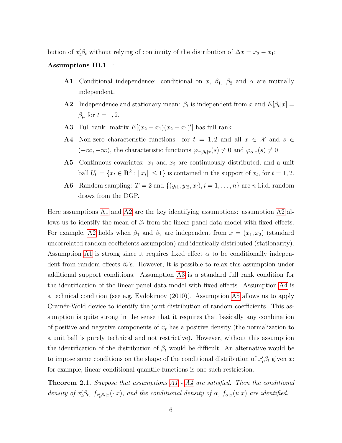bution of  $x'_t \beta_t$  without relying of continuity of the distribution of  $\Delta x = x_2 - x_1$ :

#### Assumptions ID.1 :

- A1 Conditional independence: conditional on x,  $\beta_1$ ,  $\beta_2$  and  $\alpha$  are mutually independent.
- **A2** Independence and stationary mean:  $\beta_t$  is independent from x and  $E[\beta_t|x] =$  $\beta_{\mu}$  for  $t = 1, 2$ .
- **A3** Full rank: matrix  $E[(x_2 x_1)(x_2 x_1)']$  has full rank.
- A4 Non-zero characteristic functions: for  $t = 1, 2$  and all  $x \in \mathcal{X}$  and  $s \in \mathcal{X}$  $(-\infty, +\infty)$ , the characteristic functions  $\varphi_{x_t'\beta_t|x}(s) \neq 0$  and  $\varphi_{\alpha|x}(s) \neq 0$
- **A5** Continuous covariates:  $x_1$  and  $x_2$  are continuously distributed, and a unit ball  $U_0 = \{x_t \in \mathbf{R}^k : ||x_t|| \le 1\}$  is contained in the support of  $x_t$ , for  $t = 1, 2$ .
- **A6** Random sampling:  $T = 2$  and  $\{(y_{i1}, y_{i2}, x_i), i = 1, \ldots, n\}$  are n i.i.d. random draws from the DGP.

Here assumptions [A1](#page-4-0) and [A2](#page-4-0) are the key identifying assumptions: assumption [A2](#page-4-0) allows us to identify the mean of  $\beta_t$  from the linear panel data model with fixed effects. For example, [A2](#page-4-0) holds when  $\beta_1$  and  $\beta_2$  are independent from  $x = (x_1, x_2)$  (standard uncorrelated random coefficients assumption) and identically distributed (stationarity). Assumption [A1](#page-4-0) is strong since it requires fixed effect  $\alpha$  to be conditionally independent from random effects  $\beta_t$ 's. However, it is possible to relax this assumption under additional support conditions. Assumption [A3](#page-4-0) is a standard full rank condition for the identification of the linear panel data model with fixed effects. Assumption [A4](#page-4-0) is a technical condition (see e.g. Evdokimov (2010)). Assumption [A5](#page-4-0) allows us to apply Cramér-Wold device to identify the joint distribution of random coefficients. This assumption is quite strong in the sense that it requires that basically any combination of positive and negative components of  $x_t$  has a positive density (the normalization to a unit ball is purely technical and not restrictive). However, without this assumption the identification of the distribution of  $\beta_t$  would be difficult. An alternative would be to impose some conditions on the shape of the conditional distribution of  $x_t^{\prime} \beta_t$  given x: for example, linear conditional quantile functions is one such restriction.

<span id="page-5-0"></span>**Theorem 2.1.** Suppose that assumptions  $A1 - A4$  $A1 - A4$  are satisfied. Then the conditional density of  $x_t^{\prime}\beta_t$ ,  $f_{x_t^{\prime}\beta_t|x}(\cdot|x)$ , and the conditional density of  $\alpha$ ,  $f_{\alpha|x}(u|x)$  are identified.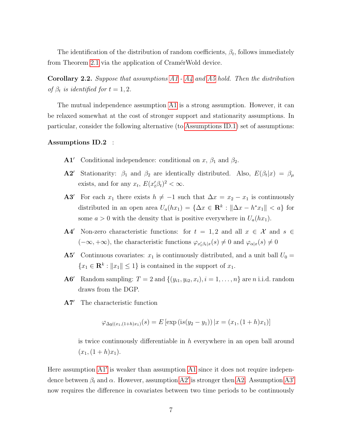The identification of the distribution of random coefficients,  $\beta_t$ , follows immediately from Theorem [2.1](#page-5-0) via the application of CramérWold device.

<span id="page-6-0"></span>Corollary 2.2. Suppose that assumptions [A1](#page-4-0) - [A4](#page-4-0) and [A5](#page-4-0) hold. Then the distribution of  $\beta_t$  is identified for  $t = 1, 2$ .

The mutual independence assumption [A1](#page-4-0) is a strong assumption. However, it can be relaxed somewhat at the cost of stronger support and stationarity assumptions. In particular, consider the following alternative (to [Assumptions ID.1\)](#page-4-0) set of assumptions:

#### Assumptions ID.2 :

- **A1<sup>** $\prime$ **</sup>** Conditional independence: conditional on x,  $\beta_1$  and  $\beta_2$ .
- **A2'** Stationarity:  $\beta_1$  and  $\beta_2$  are identically distributed. Also,  $E(\beta_t|x) = \beta_\mu$ exists, and for any  $x_t$ ,  $E(x_t' \beta_t)^2 < \infty$ .
- A3' For each  $x_1$  there exists  $h \neq -1$  such that  $\Delta x = x_2 x_1$  is continuously distributed in an open area  $U_a(hx_1) = {\Delta x \in \mathbb{R}^k : ||\Delta x - h^*x_1|| < a}$  for some  $a > 0$  with the density that is positive everywhere in  $U_a(hx_1)$ .
- A4<sup> $\prime$ </sup> Non-zero characteristic functions: for  $t = 1, 2$  and all  $x \in \mathcal{X}$  and  $s \in \mathcal{X}$  $(-\infty, +\infty)$ , the characteristic functions  $\varphi_{x_t'\beta_t|x}(s) \neq 0$  and  $\varphi_{\alpha|x}(s) \neq 0$
- **A5<sup>** $\prime$ **</sup>** Continuous covariates:  $x_1$  is continuously distributed, and a unit ball  $U_0 =$  ${x_1 \in \mathbf{R}^k : ||x_1|| \leq 1}$  is contained in the support of  $x_1$ .
- A6<sup> $\prime$ </sup> Random sampling:  $T = 2$  and  $\{(y_{i1}, y_{i2}, x_i), i = 1, \ldots, n\}$  are *n* i.i.d. random draws from the DGP.
- A7<sup> $\prime$ </sup> The characteristic function

$$
\varphi_{\Delta y|(x_1,(1+h)x_1)}(s) = E\left[\exp\left(\mathrm{i}s(y_2 - y_1)\right)|x = (x_1,(1+h)x_1)\right]
$$

is twice continuously differentiable in  $h$  everywhere in an open ball around  $(x_1,(1+h)x_1).$ 

Here assumption  $A1'$  is weaker than assumption  $A1$  since it does not require independence between  $\beta_t$  and  $\alpha$ . However, assumption [A2](#page-6-0)' is stronger then [A2.](#page-4-0) Assumption [A3](#page-6-0)' now requires the difference in covariates between two time periods to be continuously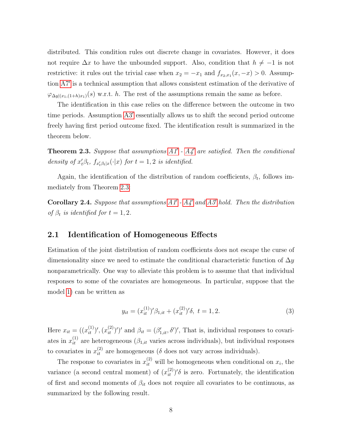distributed. This condition rules out discrete change in covariates. However, it does not require  $\Delta x$  to have the unbounded support. Also, condition that  $h \neq -1$  is not restrictive: it rules out the trivial case when  $x_2 = -x_1$  and  $f_{x_2,x_1}(x,-x) > 0$ . Assump-tion [A7](#page-6-0)' is a technical assumption that allows consistent estimation of the derivative of  $\varphi_{\Delta y|(x_1,(1+h)x_1)}(s)$  w.r.t. h. The rest of the assumptions remain the same as before.

The identification in this case relies on the difference between the outcome in two time periods. Assumption [A3](#page-6-0)' essentially allows us to shift the second period outcome freely having first period outcome fixed. The identification result is summarized in the theorem below.

<span id="page-7-0"></span>**Theorem 2.3.** Suppose that assumptions  $A1'$  -  $A4'$  are satisfied. Then the conditional density of  $x_t^{\prime} \beta_t$ ,  $f_{x_t^{\prime} \beta_t | x}(\cdot | x)$  for  $t = 1, 2$  is identified.

Again, the identification of the distribution of random coefficients,  $\beta_t$ , follows immediately from Theorem [2.3:](#page-7-0)

**Corollary 2.4.** Suppose that assumptions  $AI'$  -  $A_4'$  and  $A_5'$  hold. Then the distribution of  $\beta_t$  is identified for  $t = 1, 2$ .

#### 2.1 Identification of Homogeneous Effects

Estimation of the joint distribution of random coefficients does not escape the curse of dimensionality since we need to estimate the conditional characteristic function of  $\Delta y$ nonparametrically. One way to alleviate this problem is to assume that that individual responses to some of the covariates are homogeneous. In particular, suppose that the model [1\)](#page-1-0) can be written as

$$
y_{it} = (x_{it}^{(1)})' \beta_{1,it} + (x_{it}^{(2)})' \delta, \ t = 1, 2. \tag{3}
$$

Here  $x_{it} = ((x_{it}^{(1)})', (x_{it}^{(2)})')'$  and  $\beta_{it} = (\beta'_{1,it}, \delta')'$ , That is, individual responses to covariates in  $x_{it}^{(1)}$  are heterogeneous  $(\beta_{1,it}$  varies across individuals), but individual responses to covariates in  $x_{it}^{(2)}$  are homogeneous ( $\delta$  does not vary across individuals).

The response to covariates in  $x_{it}^{(2)}$  will be homogeneous when conditional on  $x_i$ , the variance (a second central moment) of  $(x_{it}^{(2)})'$  is zero. Fortunately, the identification of first and second moments of  $\beta_{it}$  does not require all covariates to be continuous, as summarized by the following result.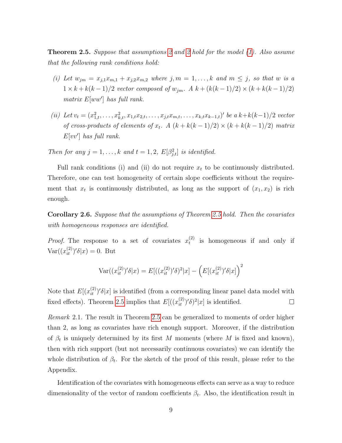<span id="page-8-0"></span>**Theorem [2](#page-6-0).5.** Suppose that assumptions 2 and 2 hold for the model  $(1)$ . Also assume that the following rank conditions hold:

- (i) Let  $w_{jm} = x_{j,1}x_{m,1} + x_{j,2}x_{m,2}$  where  $j, m = 1, ..., k$  and  $m \leq j$ , so that w is a  $1 \times k + k(k-1)/2$  vector composed of  $w_{jm}$ . A  $k + (k(k-1)/2) \times (k + k(k-1)/2)$ matrix  $E[ww']$  has full rank.
- (ii) Let  $v_t = (x_{1,t}^2, \ldots, x_{k,t}^2, x_{1,t}x_{2,t}, \ldots, x_{j,t}x_{m,t}, \ldots, x_{k,t}x_{k-1,t})'$  be a  $k+k(k-1)/2$  vector of cross-products of elements of  $x_t$ . A  $(k + k(k-1)/2) \times (k + k(k-1)/2)$  matrix  $E[vv']$  has full rank.

Then for any  $j = 1, ..., k$  and  $t = 1, 2, E[\beta_{j,t}^2]$  is identified.

Full rank conditions (i) and (ii) do not require  $x_t$  to be continuously distributed. Therefore, one can test homogeneity of certain slope coefficients without the requirement that  $x_t$  is continuously distributed, as long as the support of  $(x_1, x_2)$  is rich enough.

Corollary 2.6. Suppose that the assumptions of Theorem [2.5](#page-8-0) hold. Then the covariates with homogeneous responses are identified.

*Proof.* The response to a set of covariates  $x_t^{(2)}$  $t_t^{(2)}$  is homogeneous if and only if  $\text{Var}((x_{it}^{(2)})' \delta | x) = 0.$  But

$$
Var((x_{it}^{(2)})'\delta|x) = E[((x_{it}^{(2)})'\delta)^{2}|x] - (E[(x_{it}^{(2)})'\delta|x])^{2}
$$

Note that  $E[(x_{it}^{(2)})' \delta | x]$  is identified (from a corresponding linear panel data model with fixed effects). Theorem [2.5](#page-8-0) implies that  $E[((x_{it}^{(2)})'\delta)^2|x]$  is identified.  $\Box$ 

<span id="page-8-1"></span>Remark 2.1. The result in Theorem [2.5](#page-8-0) can be generalized to moments of order higher than 2, as long as covariates have rich enough support. Moreover, if the distribution of  $\beta_t$  is uniquely determined by its first M moments (where M is fixed and known), then with rich support (but not necessarily continuous covariates) we can identify the whole distribution of  $\beta_t$ . For the sketch of the proof of this result, please refer to the Appendix.

Identification of the covariates with homogeneous effects can serve as a way to reduce dimensionality of the vector of random coefficients  $\beta_t$ . Also, the identification result in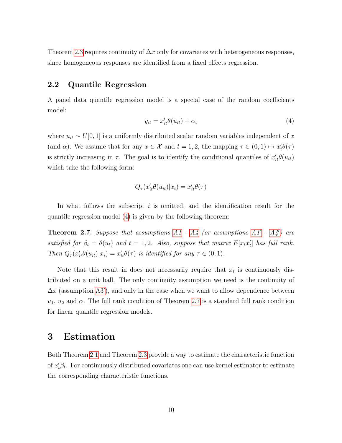Theorem [2.3](#page-7-0) requires continuity of  $\Delta x$  only for covariates with heterogeneous responses, since homogeneous responses are identified from a fixed effects regression.

#### 2.2 Quantile Regression

A panel data quantile regression model is a special case of the random coefficients model:

<span id="page-9-1"></span>
$$
y_{it} = x_{it}'\theta(u_{it}) + \alpha_i \tag{4}
$$

where  $u_{it} \sim U[0, 1]$  is a uniformly distributed scalar random variables independent of x (and  $\alpha$ ). We assume that for any  $x \in \mathcal{X}$  and  $t = 1, 2$ , the mapping  $\tau \in (0, 1) \mapsto x_t' \theta(\tau)$ is strictly increasing in  $\tau$ . The goal is to identify the conditional quantiles of  $x'_{it}\theta(u_{it})$ which take the following form:

$$
Q_{\tau}(x_{it}'\theta(u_{it})|x_i) = x_{it}'\theta(\tau)
$$

In what follows the subscript  $i$  is omitted, and the identification result for the quantile regression model [\(4\)](#page-9-1) is given by the following theorem:

<span id="page-9-2"></span>**Theorem 2.7.** Suppose that assumptions  $A1 - A4$  $A1 - A4$  (or assumptions  $A1' - A4'$ ) are satisfied for  $\beta_t = \theta(u_t)$  and  $t = 1, 2$ . Also, suppose that matrix  $E[x_t x_t']$  has full rank. Then  $Q_{\tau}(x'_{it}\theta(u_{it})|x_i) = x'_{it}\theta(\tau)$  is identified for any  $\tau \in (0,1)$ .

Note that this result in does not necessarily require that  $x_t$  is continuously distributed on a unit ball. The only continuity assumption we need is the continuity of  $\Delta x$  (assumption [A3](#page-6-0)'), and only in the case when we want to allow dependence between  $u_1, u_2$  and  $\alpha$ . The full rank condition of Theorem [2.7](#page-9-2) is a standard full rank condition for linear quantile regression models.

## <span id="page-9-0"></span>3 Estimation

Both Theorem [2.1](#page-5-0) and Theorem [2.3](#page-7-0) provide a way to estimate the characteristic function of  $x_t^{\prime} \beta_t$ . For continuously distributed covariates one can use kernel estimator to estimate the corresponding characteristic functions.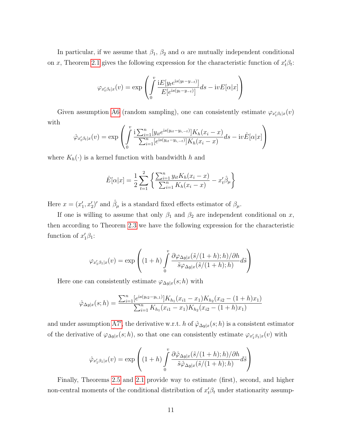In particular, if we assume that  $\beta_1$ ,  $\beta_2$  and  $\alpha$  are mutually independent conditional on x, Theorem [2.1](#page-5-0) gives the following expression for the characteristic function of  $x_t^{\prime} \beta_t$ :

$$
\varphi_{x'_t\beta_t|x}(v) = \exp\left(\int\limits_0^v \frac{iE[y_t e^{is(y_t-y_{-t})}]}{E[e^{is(y_t-y_{-t})}]} ds - ivE[\alpha|x]\right)
$$

Given assumption [A6](#page-4-0) (random sampling), one can consistently estimate  $\varphi_{x_t'\beta_t|x}(v)$ with

$$
\hat{\varphi}_{x_t'\beta_t|x}(v) = \exp\left(\int_0^v \frac{\mathrm{i} \sum_{i=1}^n [y_{it} e^{\mathrm{i} s(y_{it}-y_{i,-t})}] K_h(x_i-x)}{\sum_{i=1}^n [e^{\mathrm{i} s(y_{it}-y_{i,-t})}] K_h(x_i-x)} ds - \mathrm{i} v \hat{E}[\alpha|x]\right)
$$

where  $K_h(\cdot)$  is a kernel function with bandwidth h and

$$
\hat{E}[\alpha|x] = \frac{1}{2} \sum_{t=1}^{2} \left\{ \frac{\sum_{i=1}^{n} y_{it} K_h(x_i - x)}{\sum_{i=1}^{n} K_h(x_i - x)} - x_t' \hat{\beta}_{\mu} \right\}
$$

Here  $x = (x'_1, x'_2)'$  and  $\hat{\beta}_{\mu}$  is a standard fixed effects estimator of  $\beta_{\mu}$ .

If one is willing to assume that only  $\beta_1$  and  $\beta_2$  are independent conditional on x, then according to Theorem [2.3](#page-7-0) we have the following expression for the characteristic function of  $x_1'\beta_1$ :

$$
\varphi_{x_1'\beta_1|x}(v) = \exp\left((1+h)\int_0^v \frac{\partial \varphi_{\Delta y|x}(\tilde{s}/(1+h);h)/\partial h}{\tilde{s}\varphi_{\Delta y|x}(\tilde{s}/(1+h);h)}d\tilde{s}\right)
$$

Here one can consistently estimate  $\varphi_{\Delta y|x}(s;h)$  with

$$
\hat{\varphi}_{\Delta y|x}(s; h) = \frac{\sum_{i=1}^{n} [e^{is(y_{i2} - y_{i,1})}] K_{h_1}(x_{i1} - x_1) K_{h_2}(x_{i2} - (1 + h)x_1)}{\sum_{i=1}^{n} K_{h_1}(x_{i1} - x_1) K_{h_2}(x_{i2} - (1 + h)x_1)}
$$

and under assumption [A7](#page-6-0)', the derivative w.r.t. h of  $\hat{\varphi}_{\Delta y|x}(s; h)$  is a consistent estimator of the derivative of  $\varphi_{\Delta y|x}(s;h)$ , so that one can consistently estimate  $\varphi_{x_1'\beta_1|x}(v)$  with

$$
\hat{\varphi}_{x_1'\beta_1|x}(v) = \exp\left((1+h)\int_0^v \frac{\partial \hat{\varphi}_{\Delta y|x}(\tilde{s}/(1+h);h)/\partial h}{\tilde{s}\hat{\varphi}_{\Delta y|x}(\tilde{s}/(1+h);h)}d\tilde{s}\right)
$$

Finally, Theorems [2.5](#page-8-0) and [2.1](#page-8-1) provide way to estimate (first), second, and higher non-central moments of the conditional distribution of  $x_t^{\prime} \beta_t$  under stationarity assump-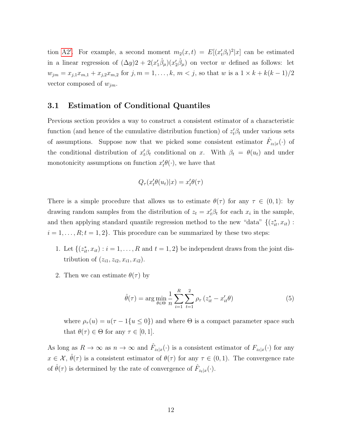tion [A2](#page-6-0)'. For example, a second moment  $m_2(x,t) = E[(x_t^{\prime}\beta_t)^2|x]$  can be estimated in a linear regression of  $(\Delta y)2 + 2(x'_1\hat{\beta}_\mu)(x'_2\hat{\beta}_\mu)$  on vector w defined as follows: let  $w_{jm} = x_{j,1}x_{m,1} + x_{j,2}x_{m,2}$  for  $j, m = 1, ..., k, m < j$ , so that w is a  $1 \times k + k(k-1)/2$ vector composed of  $w_{jm}$ .

### 3.1 Estimation of Conditional Quantiles

Previous section provides a way to construct a consistent estimator of a characteristic function (and hence of the cumulative distribution function) of  $z_t^i\beta_t$  under various sets of assumptions. Suppose now that we picked some consistent estimator  $\hat{F}_{z_t|x}(\cdot)$  of the conditional distribution of  $x_t^{\prime} \beta_t$  conditional on x. With  $\beta_t = \theta(u_t)$  and under monotonicity assumptions on function  $x'_{t}\theta(\cdot)$ , we have that

$$
Q_\tau(x_t'\theta(u_t)|x) = x_t'\theta(\tau)
$$

There is a simple procedure that allows us to estimate  $\theta(\tau)$  for any  $\tau \in (0,1)$ : by drawing random samples from the distribution of  $z_t = x_t' \beta_t$  for each  $x_i$  in the sample, and then applying standard quantile regression method to the new "data"  $\{(z_{it}^*, x_{it}) :$  $i = 1, \ldots, R; t = 1, 2$ . This procedure can be summarized by these two steps:

- 1. Let  $\{(z_{it}^*, x_{it}): i = 1, \ldots, R \text{ and } t = 1, 2\}$  be independent draws from the joint distribution of  $(z_{i1}, z_{i2}, x_{i1}, x_{i2})$ .
- 2. Then we can estimate  $\theta(\tau)$  by

$$
\hat{\theta}(\tau) = \arg \min_{\theta \in \Theta} \frac{1}{n} \sum_{i=1}^{R} \sum_{t=1}^{2} \rho_{\tau} (z_{it}^{*} - x_{it}^{\prime} \theta)
$$
(5)

where  $\rho_{\tau}(u) = u(\tau - 1\{u \le 0\})$  and where  $\Theta$  is a compact parameter space such that  $\theta(\tau) \in \Theta$  for any  $\tau \in [0, 1]$ .

As long as  $R \to \infty$  as  $n \to \infty$  and  $\hat{F}_{z_t|x}(\cdot)$  is a consistent estimator of  $F_{z_t|x}(\cdot)$  for any  $x \in \mathcal{X}, \hat{\theta}(\tau)$  is a consistent estimator of  $\theta(\tau)$  for any  $\tau \in (0,1)$ . The convergence rate of  $\hat{\theta}(\tau)$  is determined by the rate of convergence of  $\hat{F}_{z_t|x}(\cdot)$ .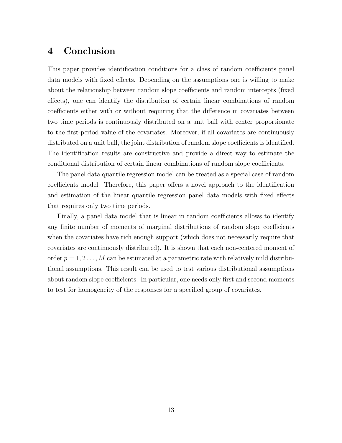## <span id="page-12-0"></span>4 Conclusion

This paper provides identification conditions for a class of random coefficients panel data models with fixed effects. Depending on the assumptions one is willing to make about the relationship between random slope coefficients and random intercepts (fixed effects), one can identify the distribution of certain linear combinations of random coefficients either with or without requiring that the difference in covariates between two time periods is continuously distributed on a unit ball with center proportionate to the first-period value of the covariates. Moreover, if all covariates are continuously distributed on a unit ball, the joint distribution of random slope coefficients is identified. The identification results are constructive and provide a direct way to estimate the conditional distribution of certain linear combinations of random slope coefficients.

The panel data quantile regression model can be treated as a special case of random coefficients model. Therefore, this paper offers a novel approach to the identification and estimation of the linear quantile regression panel data models with fixed effects that requires only two time periods.

Finally, a panel data model that is linear in random coefficients allows to identify any finite number of moments of marginal distributions of random slope coefficients when the covariates have rich enough support (which does not necessarily require that covariates are continuously distributed). It is shown that each non-centered moment of order  $p = 1, 2, \ldots, M$  can be estimated at a parametric rate with relatively mild distributional assumptions. This result can be used to test various distributional assumptions about random slope coefficients. In particular, one needs only first and second moments to test for homogeneity of the responses for a specified group of covariates.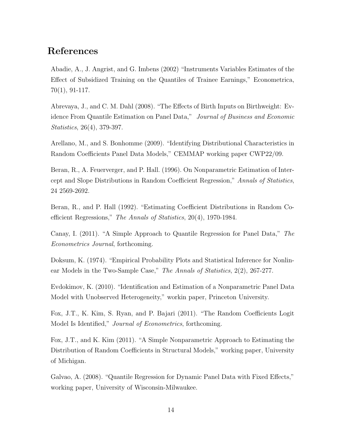## References

Abadie, A., J. Angrist, and G. Imbens (2002) "Instruments Variables Estimates of the Effect of Subsidized Training on the Quantiles of Trainee Earnings," Econometrica, 70(1), 91-117.

Abrevaya, J., and C. M. Dahl (2008). "The Effects of Birth Inputs on Birthweight: Evidence From Quantile Estimation on Panel Data," Journal of Business and Economic Statistics, 26(4), 379-397.

Arellano, M., and S. Bonhomme (2009). "Identifying Distributional Characteristics in Random Coefficients Panel Data Models," CEMMAP working paper CWP22/09.

Beran, R., A. Feuerverger, and P. Hall. (1996). On Nonparametric Estimation of Intercept and Slope Distributions in Random Coefficient Regression," Annals of Statistics, 24 2569-2692.

Beran, R., and P. Hall (1992). "Estimating Coefficient Distributions in Random Coefficient Regressions," The Annals of Statistics, 20(4), 1970-1984.

Canay, I. (2011). "A Simple Approach to Quantile Regression for Panel Data," The Econometrics Journal, forthcoming.

Doksum, K. (1974). "Empirical Probability Plots and Statistical Inference for Nonlinear Models in the Two-Sample Case," The Annals of Statistics, 2(2), 267-277.

Evdokimov, K. (2010). "Identification and Estimation of a Nonparametric Panel Data Model with Unobserved Heterogeneity," workin paper, Princeton University.

Fox, J.T., K. Kim, S. Ryan, and P. Bajari (2011). "The Random Coefficients Logit Model Is Identified," Journal of Econometrics, forthcoming.

Fox, J.T., and K. Kim (2011). "A Simple Nonparametric Approach to Estimating the Distribution of Random Coefficients in Structural Models," working paper, University of Michigan.

Galvao, A. (2008). "Quantile Regression for Dynamic Panel Data with Fixed Effects," working paper, University of Wisconsin-Milwaukee.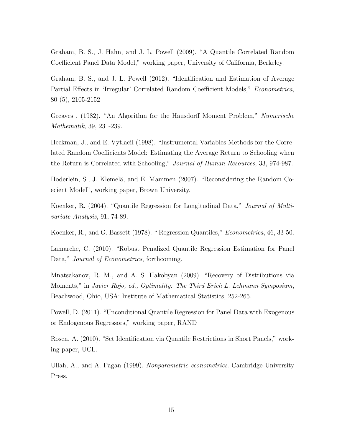Graham, B. S., J. Hahn, and J. L. Powell (2009). "A Quantile Correlated Random Coefficient Panel Data Model," working paper, University of California, Berkeley.

Graham, B. S., and J. L. Powell (2012). "Identification and Estimation of Average Partial Effects in 'Irregular' Correlated Random Coefficient Models," Econometrica, 80 (5), 2105-2152

Greaves , (1982). "An Algorithm for the Hausdorff Moment Problem," Numerische Mathematik, 39, 231-239.

Heckman, J., and E. Vytlacil (1998). "Instrumental Variables Methods for the Correlated Random Coefficients Model: Estimating the Average Return to Schooling when the Return is Correlated with Schooling," Journal of Human Resources, 33, 974-987.

Hoderlein, S., J. Klemelä, and E. Mammen (2007). "Reconsidering the Random Coecient Model", working paper, Brown University.

Koenker, R. (2004). "Quantile Regression for Longitudinal Data," Journal of Multivariate Analysis, 91, 74-89.

Koenker, R., and G. Bassett (1978). " Regression Quantiles," Econometrica, 46, 33-50.

Lamarche, C. (2010). "Robust Penalized Quantile Regression Estimation for Panel Data," *Journal of Econometrics*, forthcoming.

Mnatsakanov, R. M., and A. S. Hakobyan (2009). "Recovery of Distributions via Moments," in Javier Rojo, ed., Optimality: The Third Erich L. Lehmann Symposium, Beachwood, Ohio, USA: Institute of Mathematical Statistics, 252-265.

Powell, D. (2011). "Unconditional Quantile Regression for Panel Data with Exogenous or Endogenous Regressors," working paper, RAND

Rosen, A. (2010). "Set Identification via Quantile Restrictions in Short Panels," working paper, UCL.

Ullah, A., and A. Pagan (1999). Nonparametric econometrics. Cambridge University Press.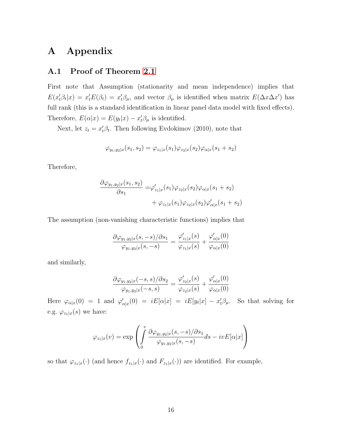## A Appendix

## A.1 Proof of Theorem [2.1](#page-5-0)

First note that Assumption (stationarity and mean independence) implies that  $E(x_t'\beta_t|x) = x_t'E(\beta_t) = x_t'\beta_\mu$ , and vector  $\beta_\mu$  is identified when matrix  $E(\Delta x\Delta x')$  has full rank (this is a standard identification in linear panel data model with fixed effects). Therefore,  $E(\alpha|x) = E(y_t|x) - x_t'\beta_\mu$  is identified.

Next, let  $z_t = x_t' \beta_t$ . Then following Evdokimov (2010), note that

$$
\varphi_{y_1, y_2|x}(s_1, s_2) = \varphi_{z_1|x}(s_1)\varphi_{z_2|x}(s_2)\varphi_{\alpha|x}(s_1 + s_2)
$$

Therefore,

$$
\frac{\partial \varphi_{y_1, y_2|x}(s_1, s_2)}{\partial s_1} = \varphi'_{z_1|x}(s_1)\varphi_{z_2|x}(s_2)\varphi_{\alpha|x}(s_1 + s_2) + \varphi_{z_1|x}(s_1)\varphi_{z_2|x}(s_2)\varphi'_{\alpha|x}(s_1 + s_2)
$$

The assumption (non-vanishing characteristic functions) implies that

$$
\frac{\partial \varphi_{y_1,y_2|x}(s,-s)/\partial s_1}{\varphi_{y_1,y_2|x}(s,-s)} = \frac{\varphi_{z_1|x}'(s)}{\varphi_{z_1|x}(s)} + \frac{\varphi_{\alpha|x}'(0)}{\varphi_{\alpha|x}(0)}
$$

and similarly,

$$
\frac{\partial \varphi_{y_1,y_2|x}(-s,s)/\partial s_2}{\varphi_{y_1,y_2|x}(-s,s)} = \frac{\varphi_{z_2|x}'(s)}{\varphi_{z_2|x}(s)} + \frac{\varphi_{\alpha|x}'(0)}{\varphi_{\alpha|x}(0)}
$$

Here  $\varphi_{\alpha|x}(0) = 1$  and  $\varphi'_{\alpha|x}(0) = iE[\alpha|x] = iE[y_t|x] - x'_t\beta_\mu$ . So that solving for e.g.  $\varphi_{z_1|x}(s)$  we have:

$$
\varphi_{z_1|x}(v) = \exp\left(\int_0^v \frac{\partial \varphi_{y_1,y_2|x}(s,-s)/\partial s_1}{\varphi_{y_1,y_2|x}(s,-s)} ds - ivE[\alpha|x]\right)
$$

so that  $\varphi_{z_1|x}(\cdot)$  (and hence  $f_{z_1|x}(\cdot)$  and  $F_{z_1|x}(\cdot)$ ) are identified. For example,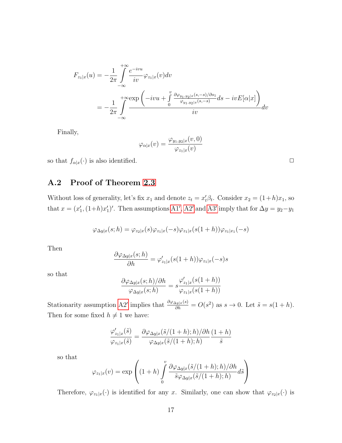$$
F_{z_1|x}(u) = -\frac{1}{2\pi} \int_{-\infty}^{+\infty} \frac{e^{-ivu}}{iv} \varphi_{z_1|x}(v) dv
$$
  
= 
$$
-\frac{1}{2\pi} \int_{-\infty}^{+\infty} \frac{\exp\left(-ivu + \int_{0}^{v} \frac{\partial \varphi_{y_1,y_2|x}(s,-s)/\partial s_1}{\varphi_{y_1,y_2|x}(s,-s)} ds - ivE[\alpha|x]\right)}{iv} dv
$$

Finally,

$$
\varphi_{\alpha|x}(v)=\frac{\varphi_{y_1,y_2|x}(v,0)}{\varphi_{z_1|x}(v)}
$$

so that  $f_{\alpha|x}(\cdot)$  is also identified.  $\Box$ 

## A.2 Proof of Theorem [2.3](#page-7-0)

Without loss of generality, let's fix  $x_1$  and denote  $z_t = x'_t \beta_t$ . Consider  $x_2 = (1+h)x_1$ , so that  $x = (x'_1, (1+h)x'_1)'$ . Then assumptions [A1](#page-6-0)', [A2](#page-6-0)' and [A3](#page-6-0)' imply that for  $\Delta y = y_2 - y_1$ 

$$
\varphi_{\Delta y|x}(s;h) = \varphi_{z_2|x}(s)\varphi_{z_1|x}(-s)\varphi_{z_1|x}(s(1+h))\varphi_{z_1|x_1}(-s)
$$

Then

$$
\frac{\partial \varphi_{\Delta y|x}(s;h)}{\partial h} = \varphi_{z_1|x}'(s(1+h))\varphi_{z_1|x}(-s)s
$$

so that

$$
\frac{\partial \varphi_{\Delta y|x}(s;h)/\partial h}{\varphi_{\Delta y|x}(s;h)} = s \frac{\varphi_{z_1|x}'(s(1+h))}{\varphi_{z_1|x}(s(1+h))}
$$

Stationarity assumption [A2](#page-6-0)' implies that  $\frac{\partial \varphi_{\Delta y|x}(s)}{\partial h} = O(s^2)$  as  $s \to 0$ . Let  $\tilde{s} = s(1 + h)$ . Then for some fixed  $h \neq 1$  we have:

$$
\frac{\varphi_{z_1|x}'(\tilde{s})}{\varphi_{z_1|x}(\tilde{s})} = \frac{\partial \varphi_{\Delta y|x}(\tilde{s}/(1+h);h)/\partial h}{\varphi_{\Delta y|x}(\tilde{s}/(1+h);h)} \frac{(1+h)}{\tilde{s}}
$$

so that

$$
\varphi_{z_1|x}(v) = \exp\left( (1+h) \int_0^v \frac{\partial \varphi_{\Delta y|x}(\tilde{s}/(1+h);h)/\partial h}{\tilde{s}\varphi_{\Delta y|x}(\tilde{s}/(1+h);h)} d\tilde{s} \right)
$$

Therefore,  $\varphi_{z_1|x}(\cdot)$  is identified for any x. Similarly, one can show that  $\varphi_{z_2|x}(\cdot)$  is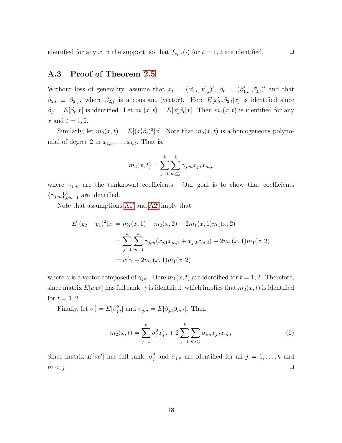identified for any x in the support, so that  $f_{z_t|x}(\cdot)$  for  $t = 1, 2$  are identified.  $\Box$ 

## A.3 Proof of Theorem [2.5](#page-8-0)

Without loss of generality, assume that  $x_t = (x'_{1,t}, x'_{2,t})'$ ,  $\beta_t = (\beta'_{1,t}, \beta'_{2,t})'$  and that  $\beta_{2,t} \equiv \beta_{2,f}$ , where  $\beta_{2,f}$  is a constant (vector). Here  $E[x'_{2,t} \beta_{2,t}|x]$  is identified since  $\beta_{\mu} = E[\beta_t|x]$  is identified. Let  $m_1(x,t) = E[x_t'\beta_t|x]$ . Then  $m_1(x,t)$  is identified for any x and  $t = 1, 2$ .

Similarly, let  $m_2(x,t) = E[(x_t^{\prime}\beta_t)^2|x]$ . Note that  $m_2(x,t)$  is a homogeneous polynomial of degree 2 in  $x_{1,t}, \ldots, x_{k,t}$ . That is,

$$
m_2(x,t) = \sum_{j=1}^{k} \sum_{m \le j}^{k} \gamma_{j,m} x_{j,t} x_{m,t}
$$

where  $\gamma_{j,m}$  are the (unknown) coefficients. Our goal is to show that coefficients  $\{\gamma_{j,m}\}_{j,m=1}^k$  are identified.

Note that assumptions  $A1'$  and  $A2'$  imply that

$$
E[(y_2 - y_1)^2 | x] = m_2(x, 1) + m_2(x, 2) - 2m_1(x, 1)m_1(x, 2)
$$
  
= 
$$
\sum_{j=1}^k \sum_{m=1}^k \gamma_{j,m}(x_{j,1}x_{m,1} + x_{j,2}x_{m,2}) - 2m_1(x, 1)m_1(x, 2)
$$
  
= 
$$
w'\gamma - 2m_1(x, 1)m_1(x, 2)
$$

where  $\gamma$  is a vector composed of  $\gamma_{jm}$ . Here  $m_1(x, t)$  are identified for  $t = 1, 2$ . Therefore, since matrix  $E[ww']$  has full rank,  $\gamma$  is identified, which implies that  $m_2(x, t)$  is identified for  $t = 1, 2$ .

Finally, let  $\sigma_j^2 = E[\beta_{j,t}^2]$  and  $\sigma_{jm} = E[\beta_{j,t}\beta_{m,t}]$ . Then

$$
m_2(x,t) = \sum_{j=1}^k \sigma_j^2 x_{j,t}^2 + 2 \sum_{j=1}^k \sum_{m < j} \sigma_{im} x_{j,t} x_{m,t} \tag{6}
$$

Since matrix  $E[vv']$  has full rank,  $\sigma_j^2$  and  $\sigma_{jm}$  are identified for all  $j = 1, \ldots, k$  and  $m < j$ .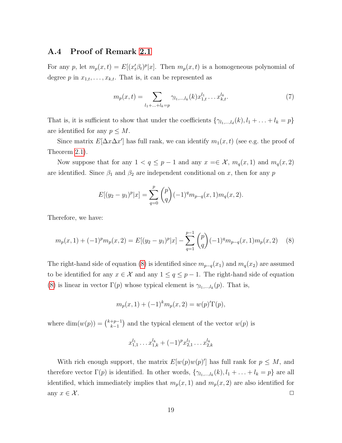#### A.4 Proof of Remark [2.1](#page-8-1)

For any p, let  $m_p(x,t) = E[(x_t^{\prime}\beta_t)^p | x]$ . Then  $m_p(x,t)$  is a homogeneous polynomial of degree p in  $x_{1,t}, \ldots, x_{k,t}$ . That is, it can be represented as

$$
m_p(x,t) = \sum_{l_1 + \ldots + l_k = p} \gamma_{l_1,\ldots,l_k}(k) x_{1,t}^{l_1} \ldots x_{k,t}^{l_k}.
$$
 (7)

That is, it is sufficient to show that under the coefficients  $\{\gamma_{l_1,\dots,l_d}(k), l_1 + \dots + l_k = p\}$ are identified for any  $p \leq M$ .

Since matrix  $E[\Delta x \Delta x']$  has full rank, we can identify  $m_1(x, t)$  (see e.g. the proof of Theorem [2.1\)](#page-5-0).

Now suppose that for any  $1 < q \leq p-1$  and any  $x \in \mathcal{X}$ ,  $m_q(x, 1)$  and  $m_q(x, 2)$ are identified. Since  $\beta_1$  and  $\beta_2$  are independent conditional on x, then for any p

$$
E[(y_2 - y_1)^p | x] = \sum_{q=0}^p {p \choose q} (-1)^q m_{p-q}(x, 1) m_q(x, 2).
$$

Therefore, we have:

<span id="page-18-0"></span>
$$
m_p(x,1) + (-1)^p m_p(x,2) = E[(y_2 - y_1)^p | x] - \sum_{q=1}^{p-1} {p \choose q} (-1)^q m_{p-q}(x,1) m_p(x,2)
$$
 (8)

The right-hand side of equation [\(8\)](#page-18-0) is identified since  $m_{p-q}(x_1)$  and  $m_q(x_2)$  are assumed to be identified for any  $x \in \mathcal{X}$  and any  $1 \leq q \leq p-1$ . The right-hand side of equation [\(8\)](#page-18-0) is linear in vector  $\Gamma(p)$  whose typical element is  $\gamma_{l_1,\dots,l_k}(p)$ . That is,

$$
m_p(x,1) + (-1)^k m_p(x,2) = w(p)'\Gamma(p),
$$

where  $\dim(w(p)) = \binom{k+p-1}{k-1}$  $\binom{p+1}{k-1}$  and the typical element of the vector  $w(p)$  is

$$
x_{1,1}^{l_1} \dots x_{1,k}^{l_k} + (-1)^p x_{2,1}^{l_1} \dots x_{2,k}^{l_k}
$$

With rich enough support, the matrix  $E[w(p)w(p)']$  has full rank for  $p \leq M$ , and therefore vector  $\Gamma(p)$  is identified. In other words,  $\{\gamma_{l_1,\dots,l_k}(k), l_1 + \dots + l_k = p\}$  are all identified, which immediately implies that  $m_p(x, 1)$  and  $m_p(x, 2)$  are also identified for any  $x \in \mathcal{X}$ .  $\Box$